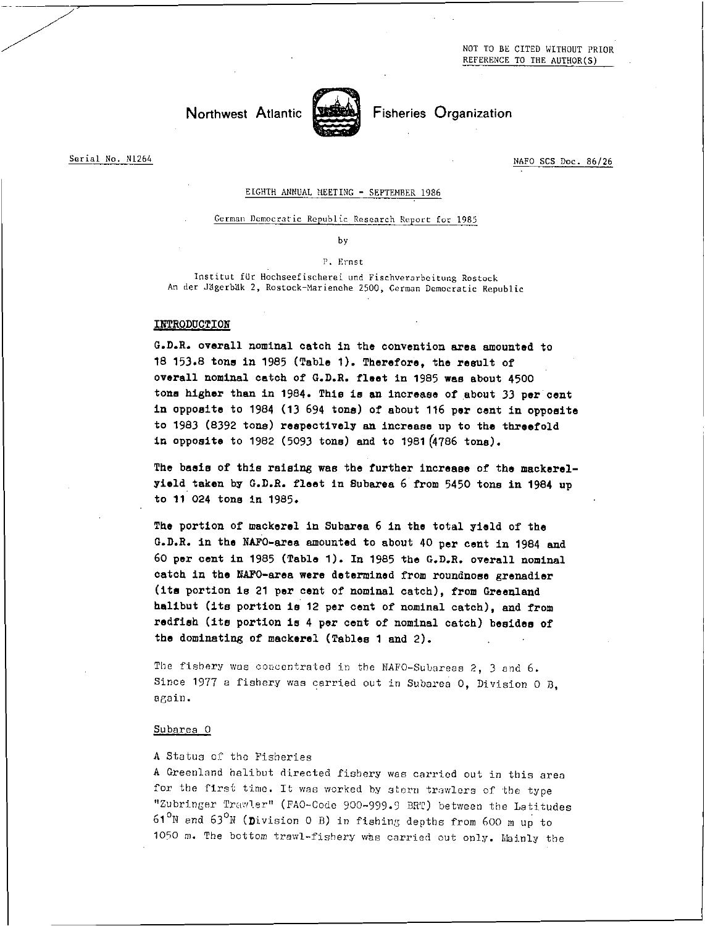NOT TO BE CITED WITHOUT PRIOR REFERENCE TO THE AUTHOR(S)

# Northwest Atlantic **Fisheries** Organization



Serial No. N1264 NAFO SCS Doc. 86/26

#### EIGHTH ANNUAL MEETING - SEPTEMBER 1986

#### German Democratic Republic Research Report for 1985

by

#### P. Ernst

Institut fUr Hochseefischerei and Fischverarheitung Rostock An der Jägerbäk 2, Rostock-Marienehe 2500, German Democratic Republic

#### INTRODUCTION

G.D.R. overall nominal catch in the convention area amounted to 18 153.8 tons in 1985 (Table 1). Therefore, the result of overall nominal catch of G.D.R. fleet in 1985 was about 4500 tone higher than in 1984. This is an increase of about 33 per cent *in* opposite to 1984 (13 694 tons) of about 116 per cent in opposite to 1983 (8392 tons) respectively an increase up to the threefold in opposite to 1982 (5093 tons) and to 1981(4786 tons).

The basis of this raising was the further increase of the mackerelyield taken by G.D.R. fleet *in* Subarea 6 from 5450 tons in 1984 up to 11 024 tons in 1985.

The portion of mackerel in Subarea 6 in the total yield of the G.D.R. in the NAFO-area amounted to about 40 per cent in 1984 and 60 per cent in 1985 (Table 1). In 1985 the G.D.R. overall nominal catch in the NAFO-area were determined from roundnose grenadier (its portion is 21 per cent of nominal catch), from Greenland halibut (its portion is 12 per cent of nominal catch), and from redfish (its portion is 4 per cent of nominal catch) besides of the dominating of mackerel (Tables 1 and 2).

The fishery was concentrated in the NAFO-Subareas 2, 3 and 6. Since 1977 a fishery was carried out in Subarea 0, Division 0 B, again.

#### Subarea 0

#### A Status of the Fisheries

A Greenland halibut directed fishery was carried out in this area for the first time. It was worked by stern trawlers of the type "Zubringer Trawler" (FAO-Code 900-999.9 BRT) between the Latitudes 61<sup>°</sup>N and 63<sup>°</sup>N (Division 0 B) in fishing depths from 600 m up to 1050 m. The bottom trawl-fishery was carried out only. Mainly the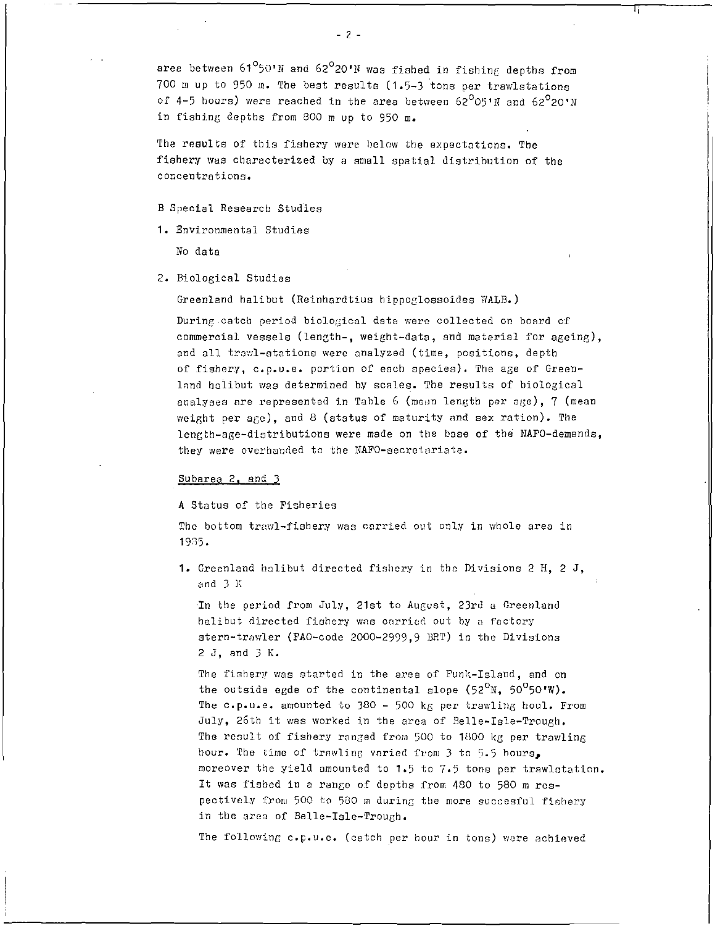Б

The results of this fishery were below the expectations. The fishery was characterized by a smell spatial distribution of the concentrations.

### B Special Research Studies

in fishing depths from 800 m up to 950 m.

1. Environmental Studies

No data

2. Biological Studies

Greenland halibut (Reinhardtius hippoglossoides WALB.)

During catch period biological data were collected on board of commercial vessels (length-, weight-data, and material for ageing), and all trawl-stations were analyzed (time, positions, depth of fishery, c.p.u.e. portion of each species). The age of Greenland halibut was determined by scales. The results of biological analyses are represented in Table 6 (mean length per age), 7 (mean weight per age), and 8 (status of maturity and sex ration). The length-age-distributions were made on the base of the NAFO-demands, they were overhanded to the NAFO-secretariate.

#### Subarea 2. and 3

A Status of the Fisheries

The bottom trawl-fishery was carried out only in whole area in 1985.

1. Greenland halibut directed fishery in the Divisions 2 H, 2 J, and 3 K

In the period from July, 21st to August, 23rd a Greenland halibut directed fishery was carried out by a factory stern-trawler (FAO-code 2000-2999,9 BRT) in the Divisions 2 J, and 3 K.

The fishery was started in the area of Funk-Island, and on the outside egde of the continental slope (52°N, 50°50'W). c.p.u.e. amounted to 380 - 500 kg per trawling houl. From The July, 26th it was worked in the area of Belle-Isle-Trough. The result of fishery ranged from 500 to 1800 kg per trawling hour. The time of trawling varied from 3 to 5.5 hours, moreover the yield amounted to  $1.5$  to  $7.5$  tons per trawlstation. It was fished in a range of depths from 480 to 580 m respectively from 500 to 580 m during the more succesful fishery in the area of Belle-Isle-Trough.

The following c.p.u.e. (catch per hour in tons) were achieved

 $- 2 -$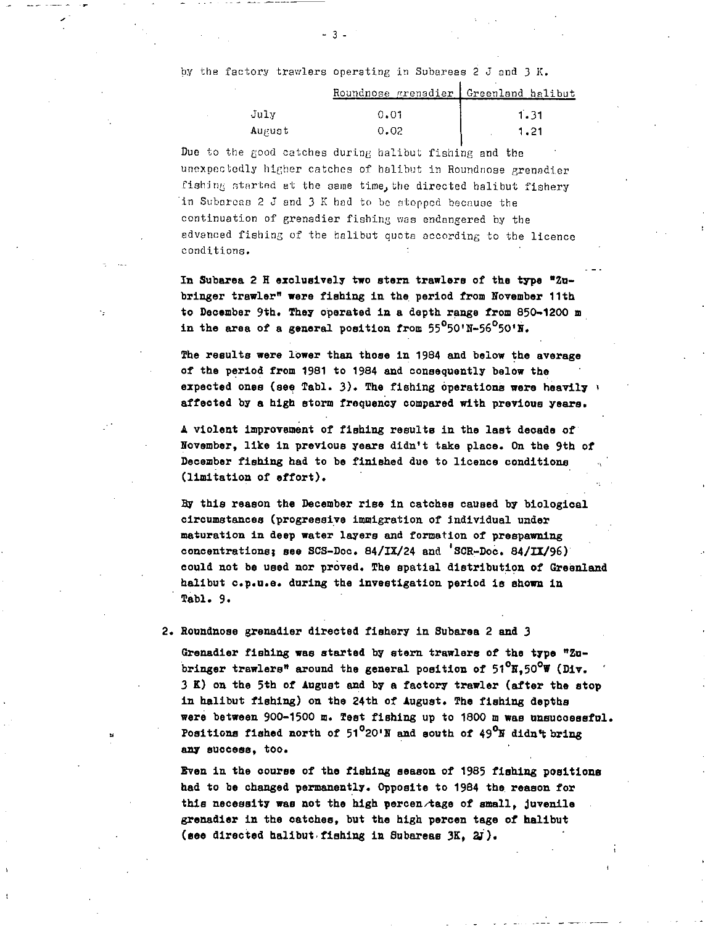by the factory trawlers operating in Subareas 2 J and 3 K.

|        | Roundnose grenadier   Greenland halibut |      |
|--------|-----------------------------------------|------|
| July   | 0.01                                    | 1.31 |
| Aurust | 0.02                                    | 1.21 |

Duo to the good catches during halibut fishing and the unexpectedly higher catches of halibut in Roundnose grenadier fishing started at the same time, the directed halibut fishery in Subareas 2 J and 3 K had to be stopped because the continuation of grenadier fishing was endangered by the advanced fishing of the halibut quota according to the licence conditions.

In Subarea 2 H exclusively two stern trawlers of the type "Znbringer trawler" were fishing in the period from November 11th to December 9th. They operated in a depth range from 850-1200 m in the area of a general position from  $55^{\circ}50'$ N-56<sup>0</sup>50'R.

The results were lower than those in 1984 and below the average of the period from 1981 to 1984 and consequently below the expected ones (see Tabl. 3). The fishing operations were heavily  $\frac{1}{2}$ affected by a high storm frequency compared with previous years.

A violent improvement of fishing results in the last decade of November, like in previous years didn't take place. On the 9th of December fishing had to be finished due to licence conditions . (limitation of effort).

By this reason the December rise in catches caused by biological circumstances (progressive immigration of individual under maturation in deep water layers and formation of prespawning concentrations; **gee** SCS-Doc. 84/18/24 and SCR-Doe. 84/11/96) could not be used nor proved. The spatial distribution of Greenland halibut c.p.u.e. during the investigation period is shown in Tabl. 9.

2. Roundnose grenadier directed fishery in Subarea 2 and 3

Grenadier fishing was started by stern trawlers of the type "Znbringer trawlers" around the general position of  $51^0$ N,50<sup>°W</sup> (Div. 3 K) on the 5th of August and by a factory trawler (after the stop in halibut fishing) on the 24th of August. The fishing depths were between 900-1500 m. Test fishing up to 1800 m was unsuccessful. Positions fished north of  $51^020'$ N and south of  $49^0$ N didn't bring any success, too.

Even in the course of the fishing season of 1985 fishing positions had to be changed permanently. Opposite to 1984 the reason for this necessity was not the high percen $\lambda$ tage of small, juvenile grenadier in the catches, but the high percen tage of halibut (see directed halibut fishing in Subareas 3K, *21).*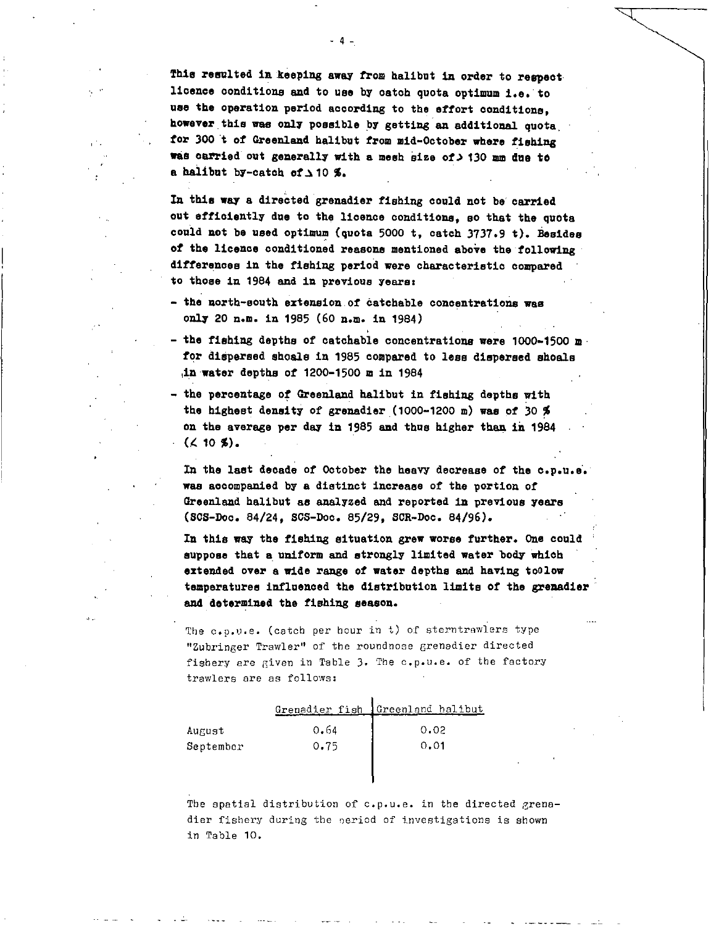**This resulted in keeping away from halibut in order to respect licence conditions and to use by catch quota optimum i.e. to use the operation period according to the effort conditions, however this was only possible by getting an additional quota** , **for 300 t of Greenland halibut from mid-October where fishing was carried out generally with a mesh size of) 130 mm due to**   $a$  halibut by-catch of  $\triangle$  10 %.

**In this way a directed grenadier fishing could not be' carried out efficiently due to the licence conditions, so that the quota could not be used optimum (quota 5000 t, catch 3737.9 t). Resides**  of the licence conditioned reasons mentioned above the following **differences in the fishing period were characteristic compared to thoae in 1984 and in previous years:** 

- **- the north-mouth extension, of hatchable concentrations was only 20 n.m. in 1985 (60 n.m.** *in* **1984)**
- **- the fishing depths of catchable concentrations were 1000-1500 m. for dispersed shoals in 1985 compared to less dispersed shoals ,in water depths of 1200-1500 m in 1984**
- **the percentage of Greenland halibut in fishing depths with the highest density of grenadier (1000-1200 m) was of 30 %**  on the average per day in 1985 and thus higher than in 1984  $(X 10 5)$ .

In the last decade of October the heavy decrease of the c.p.u.e. **was accompanied by a distinct increase of** *the* **portion** of **Greenland halibut as analyzed and reported in previous years (SCS-Doc. 84/24, SCS-Doc. 85/29, SCR-Doc. 84/96).** 

In this way the fishing situation grew worse further. One could suppose that a uniform and strongly limited water body which **extended over a wide range of water depths and having toolow temperatures influenced the distribution limits of the grenadier and determined the fishing season.** 

The c.p.u.e. (catch per hour in t) of sterntrawiers type "Zubringer Trawler" of the roundnose grenadier directed fishery are given in Table 3. The c.p.u.e. of the factory trawlers are as follows:

|           |      | Grenadier fish Greenland halibut |  |
|-----------|------|----------------------------------|--|
| August    | 0.64 | 0.02                             |  |
| September | 0.75 | 0.01                             |  |
|           |      |                                  |  |

The spatial distribution of c.p.u.e. in the directed grenadier fishery during the oeriod of investigations is shown in Table 10.

 $-4-$ 

т.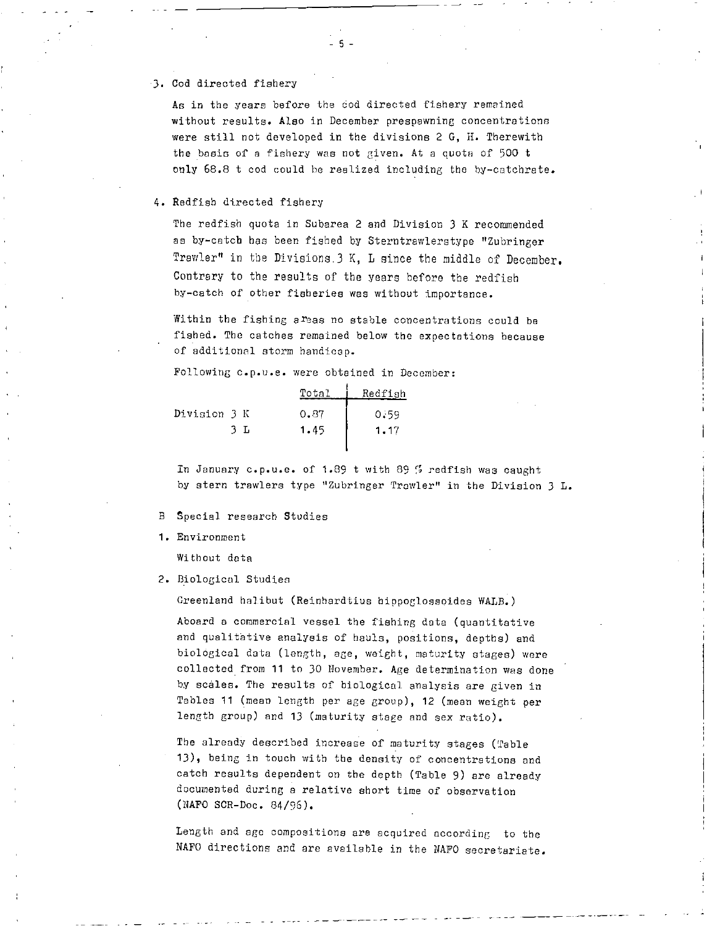#### 3. Cod directed fishery

As in the years before the cod directed fishery remained without results. Also in December prespawning concentrations were still not developed in the divisions 2 G, H. Therewith the basis of a fishery was not given. At a quota of 500 t only 68.8 t cod could be realized including the by-catchrate.

#### 4. Redfish directed fishery

The redfish quota in Subarea 2 and Division 3 K recommended as by-catch has been fished by Sterntrawlerstype "Zubringer Trawler" in the Divisions 3 K, L since the middle of December. Contrary to the results of the years before the redfish by-catch of other fisheries was without importance.

Within the fishing areas no stable concentrations could be fished. The catches remained below the expectations because of additional storm handicap.

Following c.p.u.e. were obtained in December:

|              |      | Total | Redfish |
|--------------|------|-------|---------|
| Division 3 K |      | 0.87  | 0.59    |
|              | . т. | 1.45  | 1.17    |
|              |      |       |         |

In January c.p.u.e. of 1.89 t with 89 % redfish was caught by stern trawlers type "Zubringer Trawler" in the Division 3 L.

#### B Special research Studies

1. Environment

Without data

2. Biological Studies

Greenland halibut (Reinhardtius hippoglossoides WALB.)

Aboard a commercial vessel the fishing data (quantitative and qualitative analysis of hauls, positions, depths) and biological data (length, age, weight, maturity stages) were collected from 11 to 30 November. Age determination was done by scales. The results of biological analysis are given in Tables 11 (mean length per age group), 12 (mean weight per length group) and 13 (maturity stage and sex ratio).

The already described increase of maturity stages (Table 13), being in touch with the density of concentrations and catch results dependent on the depth (Table 9) are already documented during a relative short time of observation (NAFO SCR-Doc. 84/96).

Length and age compositions are acquired according to the NAFO directions and are available in the NAFO secretariate.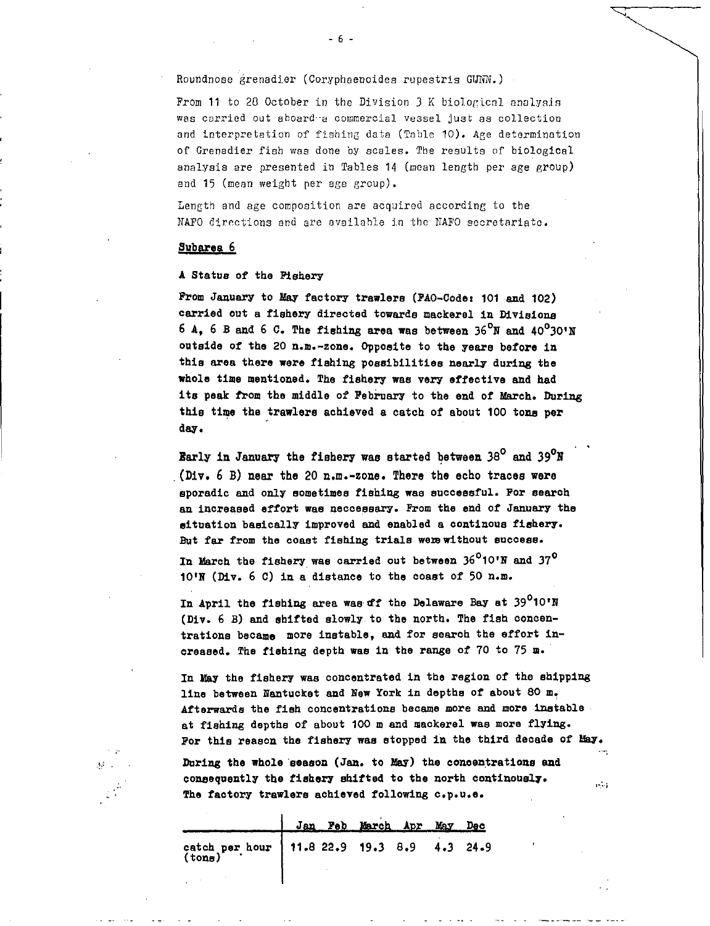Roundnose grenadier (Corypheenoides rupestris GUNN.)

From 11 to 28 October in the Division 3 K biological analysis was carried out aboard-a commercial vessel just as collection and interpretation of fishing data (Table 10). Age determination of Grenadier fish was done by scales. The results of biological analysis are presented in Tables 14 (mean length per age group) and 15 (mean weight per age group).

Length and age composition are acquired according to the NAFO directions and are available in the NAFO secretariats .

#### **Subarea** 6

 $\Lambda^{\pm}$  .

 $\frac{1}{\mu} \frac{d\mu}{dt}$ 

#### **A Statue of the Fishery**

**From January to** *May* **factory trawlers (FAO-Code: 101 end 102) carried out a fishery directed towards mackerel in Divisions 6 A, 6 B and 6 C. The fishing area was between**  $36^{\circ}$ **N and**  $40^{\circ}30$ **'N outside of the 20 n.m.-zone. Opposite to the years before in this area there** *were* **fishing possibilities nearly during the whole time mentioned. The fishery was very effective and had its peak from the middle of Febivary to the end of March. During this time the trawlers achieved a catch of about 100 tons per day.** 

**Early in January the fishery was started between 38 °and 39°N (Div.** 6 **B) near the 20 n.m.-zone. There the echo traces were sporadic and only sometimes fishing was successful. For searoh an increased effort was necceesary. From the end of January the situation basically improved and enabled a continue fishery. But far from the coast fishing trials were without success.** 

**In March the fishery was carried out between 36** ° **10'N and 37** ° **6 C) in a distance to the coast of 50 n.m. 10'N (Div.** 

**In April the fishing area was of the Delaware Bay at**  $39^{\circ}$  **10'N (Div. 6 B) and shifted slowly to the north. The fish concentrations became more instable, and for search the effort increased. The fishing depth was in the range of 70 to 75 m.** 

**In May the fishery was concentrated** *in* **the region of the shipping line between Nantucket and New York in depths of about 80 m. Afterwards the fish concentrations became more and more instable at fishing depths of about 100 m and mackerel was more flying. For this reason the fishery was stopped in the third decade of May.** 

 $\overline{1}$ 

*During* **the whole season (Jan. to May) the concentrations** *and*  **consequently the fishery shifted to the north continously. The factory trawlers achieved following c.p.u.e.** 

**Jan Feb March Avr May Dec catch per hour 11.8 22.9 19.3 8.9 4.3 24.9 (tons)** 

 $- 6 -$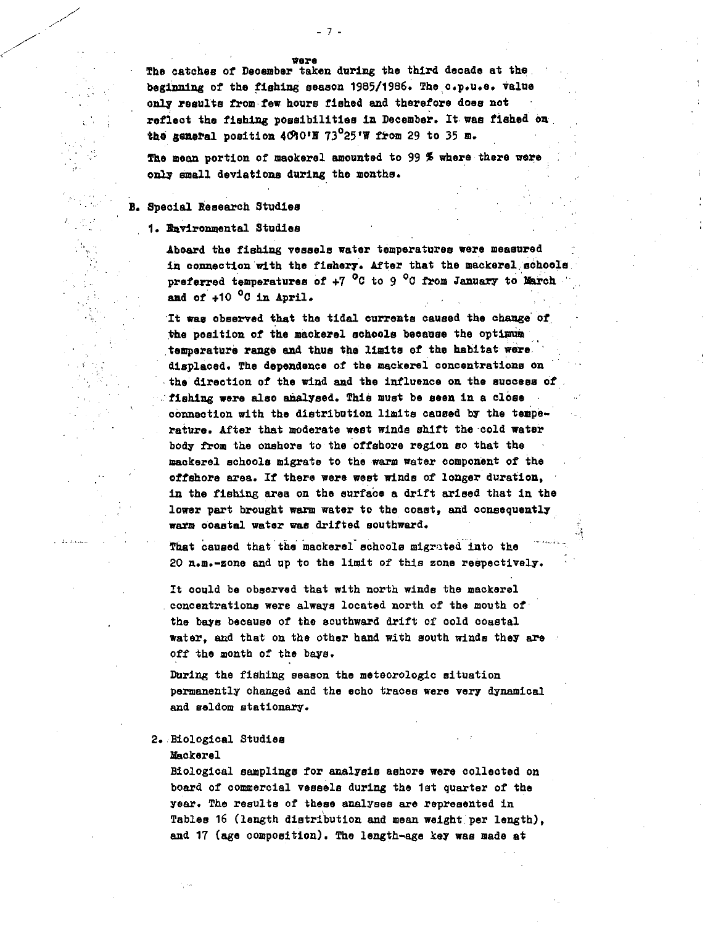**were** 

**The catches of December taken during the third decade at the. beginning of the fishing season 1985/1986. The c.p.u.e. value only results from few hours fished and therefore does not reflect the fishing possibilities in December. It was fished on the general position 4090'N 73<sup>0</sup>25'W from 29 to 35 m.** 

**The mean portion of maokerel amounted to 99 % where there were only small deviations during the months.** 

#### B. **Special Research Studies**

**1. Environmental Studies** 

**Aboard the fishing vessels water temperatures were measured in connection with the fishery. After that the mackerel sohools preferred temperatures of +7 <sup>o</sup>C to 9 <sup>o</sup>C from January to March and of +10** 0**0 in April.** 

**It was observed that the tidal currents caused the change of the position of the mackerel schools because the optimum temperature range and thus the limits of the habitat were '**  displaced. The dependence of the mackerel concentrations on **the direction of the wind and the influence on the success of**  fishing were also analysed. This must be seen in a close **connection with the distribution limits caused by the temperature. After that moderate west winds shift the cold water body from the onshore to the offshore region so that the mackerel schools migrate to the warm water component of the offshore area. If there were west winds of longer duration, in the fishing area on the surfice a drift arised that in the lower part brought warm water to the coast, and consequently warm coastal water was drifted southward.** 

**That caused that the mackerel schools migrated into the 20 n.m. -zone and up to the limit of this zone respectively.** 

**It could be observed that with north winds the mackerel concentrations were always located north of the mouth of the bays because of the southward drift of cold coastal water, and that on the other hand with south winds they are**  off **the month of the bays.** 

**During the fishing season the meteorologic situation permanently changed and the echo traces were very dynamical and seldom stationary.** 

## **2. Biological Studies**

#### **Mackerel**

**Biological samplings for analysis ashore were collected on board of commercial vessels during the 1st quarter of the year. The results of these analyses are represented** *in*  **Tables 16 (length distribution and mean weight:per length), and 17 (age composition). The length-age key was made at**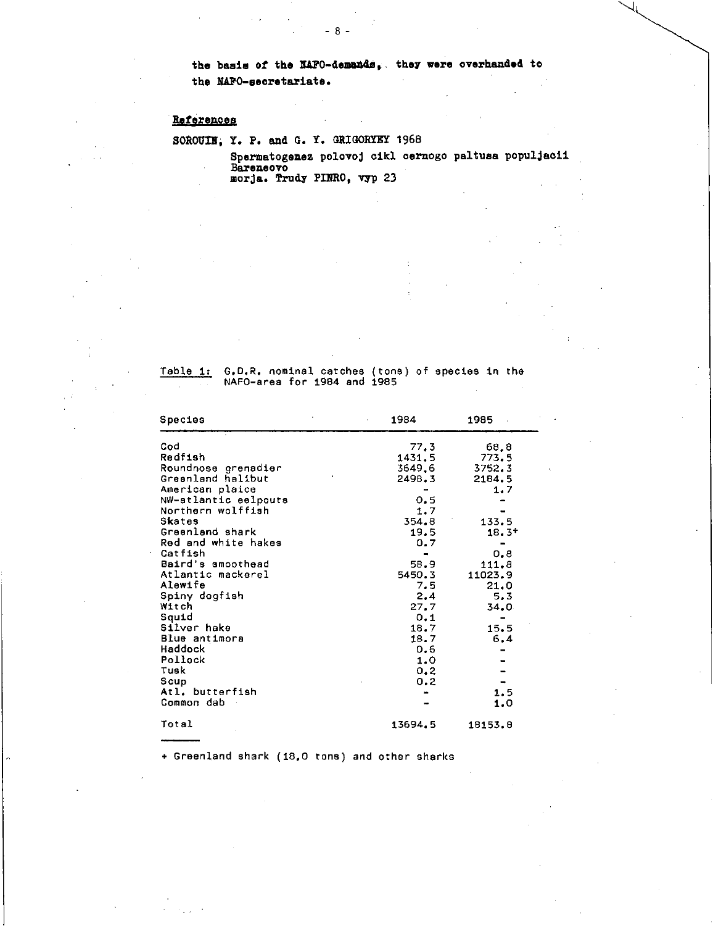the basis of the NAFO-demands, they were overhanded to  $\mathcal{A}$ **the NAPO-seoretariate.** 

 $-8-$ 

## **References**

SOROUIN, Y. P. and G. Y. GRIGORYEY 1968

**Spermatogenez polovoj cikl cernogo paltusa populjaoii Bareneovo morja. Trudy PIERO, vyp 23** 

#### Table 1: G.D.R. nominal catches (tons) of species in the NAFO-area for 1984 and 1985

| Species              | 1984    | 1985       |
|----------------------|---------|------------|
| Cod                  | 77.3    | 68.8       |
| Redfish              | 1431.5  | 773.5      |
| Roundnose grenadier  | 3649.6  | 3752.3     |
| Greenland halibut    | 2498.3  | 2184.5     |
| American plaice      |         | 1.7        |
| NW-atlantic eelpouts | 0.5     |            |
| Northern wolffish    | 1.7     |            |
| Skates               | 354.8   | 133.5      |
| Greenland shark      | 19.5    | $18.3^{+}$ |
| Red and white hakes  | 0.7     |            |
| Catfish              |         | 0.8        |
| Baird's smoothead    | 58.9    | 111.8      |
| Atlantic mackerel    | 5450.3  | 11023.9    |
| Alewife              | 7.5     | 21.0       |
| Spiny doofish        | 2,4     | 5.3        |
| Witch                | 27.7    | 34.0       |
| Squid                | 0.1     |            |
| Silver hake          | 18.7    | 15.5       |
| Blue antimora        | 18.7    | 6.4        |
| Haddock              | 0.6     |            |
| Pollock              | 1.0     |            |
| Tusk                 | 0.2     |            |
| Scup                 | 0.2     |            |
| Atl. butterfish      | m       | 1.5        |
| Common dab           |         | 1.0        |
| Total                | 13694.5 | 18153.8    |

+ Greenland shark (18.0 tons) and other sharks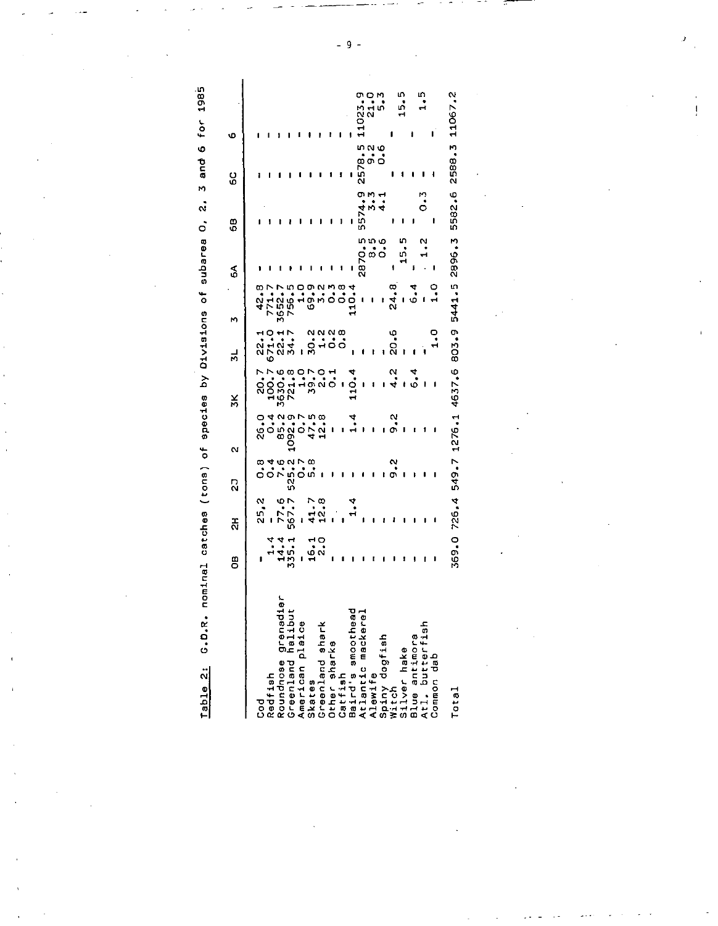$\mathsf{for}$ tO  $\frac{1}{2}$ *4.1 •*  • 10 0 L 0  $\bullet$ 0 ō. 5 .0 *0*  0. 0 0  $\ddot{}$  $\mathbf{H}$ 0 C • O'  $\dot{\mathbf{o}}$  $\mathring{\mathbf{c}}$  . N. .0 CO I-

co co

| G.D.R. nominal catches (tons) of<br>Table 2:                                                                                                                                                                                                |                                      |                 |                   | species                                |                                     | by Divisions                                      | ŏ                                                          | subarea O, 2,        |                      |                          | 3 and 6 tor 1985                   |
|---------------------------------------------------------------------------------------------------------------------------------------------------------------------------------------------------------------------------------------------|--------------------------------------|-----------------|-------------------|----------------------------------------|-------------------------------------|---------------------------------------------------|------------------------------------------------------------|----------------------|----------------------|--------------------------|------------------------------------|
|                                                                                                                                                                                                                                             | 8                                    | 오               | 22                | N                                      | 3K                                  | $\overline{5}$                                    | N,                                                         | á                    | 6B                   | co                       | Ф                                  |
|                                                                                                                                                                                                                                             |                                      | N<br><u>ជុំ</u> |                   | 0.<br>82                               |                                     |                                                   | 42.8                                                       |                      |                      |                          |                                    |
|                                                                                                                                                                                                                                             |                                      |                 |                   | 0.4                                    |                                     |                                                   |                                                            |                      |                      |                          |                                    |
|                                                                                                                                                                                                                                             |                                      |                 |                   | 5.2<br>∞                               |                                     |                                                   |                                                            |                      |                      |                          |                                    |
|                                                                                                                                                                                                                                             | $44.4$<br>$44.6$<br>$75.6$<br>$75.7$ | 77.6<br>567.7   |                   | $1092.9$<br>$47.5$<br>$42.8$<br>$12.8$ | 20.77<br>100.77<br>3630.8<br>7221.8 |                                                   | 3652.7<br>756.5                                            |                      |                      |                          |                                    |
|                                                                                                                                                                                                                                             |                                      |                 |                   |                                        |                                     |                                                   |                                                            |                      |                      |                          |                                    |
|                                                                                                                                                                                                                                             |                                      |                 |                   |                                        |                                     |                                                   | Φ                                                          |                      |                      |                          |                                    |
|                                                                                                                                                                                                                                             | 16.1                                 | 41.7<br>12.8    |                   |                                        | oro <del>.</del><br>Jono            | NNN <sub>0</sub><br>$\frac{1}{8}$ $\frac{1}{100}$ | $\ddot{\circ}$ ท่ $\ddot{\circ} \ddot{\circ} \ddot{\circ}$ |                      |                      |                          |                                    |
|                                                                                                                                                                                                                                             |                                      |                 |                   |                                        |                                     |                                                   |                                                            |                      |                      |                          |                                    |
|                                                                                                                                                                                                                                             |                                      |                 |                   |                                        |                                     |                                                   | თ                                                          |                      | 1                    |                          |                                    |
|                                                                                                                                                                                                                                             |                                      | 1.4             |                   |                                        | 110.4                               |                                                   | 4                                                          |                      |                      |                          |                                    |
|                                                                                                                                                                                                                                             |                                      |                 | 1                 |                                        |                                     |                                                   |                                                            |                      |                      |                          | ១.០.២<br>ក្តុំ<br>ក្តុំក<br>.1023. |
|                                                                                                                                                                                                                                             |                                      |                 |                   | -                                      | 1                                   |                                                   |                                                            |                      | 5574.9<br>3.3<br>4.1 |                          |                                    |
|                                                                                                                                                                                                                                             |                                      |                 |                   |                                        |                                     |                                                   |                                                            | 2870.5<br>0.5<br>0.6 |                      | 578.46<br>2578.0<br>2578 |                                    |
|                                                                                                                                                                                                                                             |                                      |                 | N<br><sub>O</sub> | Ō,                                     | $\frac{2}{3}$                       | ه<br>20                                           | 24.8                                                       |                      |                      |                          |                                    |
|                                                                                                                                                                                                                                             |                                      |                 |                   | J                                      |                                     |                                                   |                                                            | m<br>15.             |                      |                          | ທ<br>$\frac{1}{11}$                |
|                                                                                                                                                                                                                                             |                                      |                 |                   | ı                                      | ₹                                   |                                                   | $\ddot{6}$ .                                               |                      |                      |                          | 1                                  |
|                                                                                                                                                                                                                                             |                                      |                 |                   | ţ                                      |                                     |                                                   | $\mathbf{I}$                                               | N                    |                      |                          | m                                  |
| Cod fish<br>Redfish<br>Roundnose grenadier<br>Greenland shark<br>American plaice<br>Cresenland shark<br>Cresenland shark<br>Otter sharke<br>Allowite<br>Allowite<br>Silver hake<br>Silver hake<br>Silver hake<br>Silver hake<br>Silver hake |                                      |                 |                   |                                        |                                     |                                                   |                                                            |                      | ı                    |                          |                                    |
| Total                                                                                                                                                                                                                                       |                                      | 369.0 726.4     |                   |                                        | 549.7 1276.1 4637.6                 | 803.9                                             | 5441.5                                                     | 2896.3               | 5582.6               |                          | 2588.3 11067.2                     |
|                                                                                                                                                                                                                                             |                                      |                 |                   |                                        |                                     |                                                   |                                                            |                      |                      |                          |                                    |
|                                                                                                                                                                                                                                             |                                      |                 |                   |                                        |                                     |                                                   |                                                            |                      |                      |                          |                                    |

 $\pmb{\mathfrak{t}}$ 

 $-9-$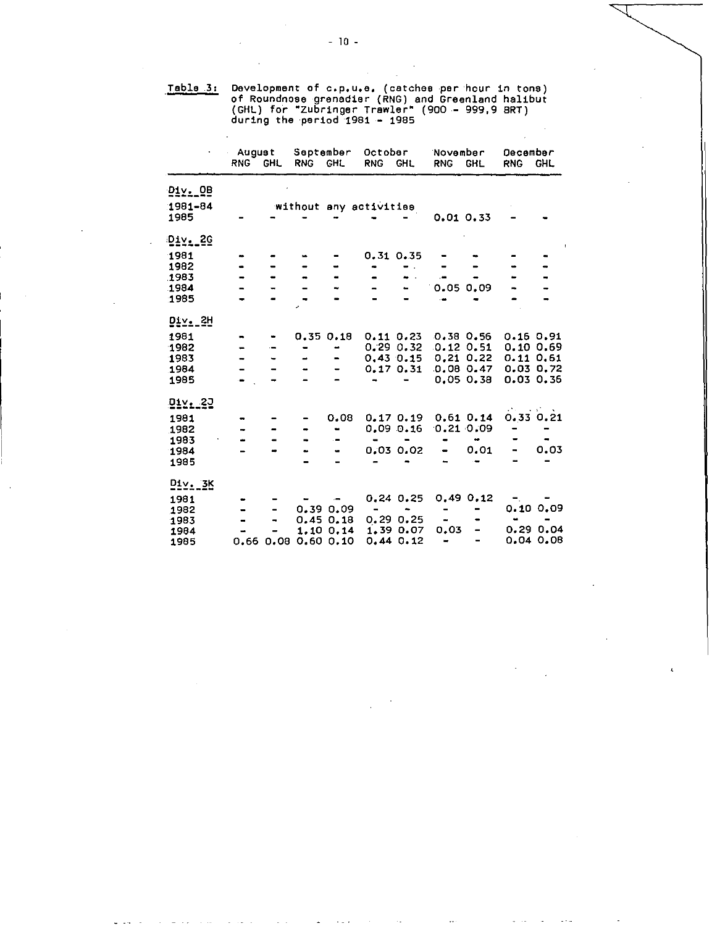Table 3: Development of c.p.u.e. (catches per hour in tons) of Roundnose grenadier (RNG) and Greenland halibut (GHL) for "Zubringer Trawler' (900 - 999,9 BRT) during the period 1981 - 1985

|                                      | <b>August</b><br><b>RNG</b> | <b>CHL</b>                   | September<br><b>RNG</b> | <b>CHL</b>               | October<br><b>RNG</b> | <b>GHL</b>    | November<br><b>RNG</b> | <b>GHL</b>     | December<br><b>RNG</b> | <b>GHL</b>   |
|--------------------------------------|-----------------------------|------------------------------|-------------------------|--------------------------|-----------------------|---------------|------------------------|----------------|------------------------|--------------|
| 01y.08<br>1981-84<br>1985            |                             |                              |                         | without any activities   |                       |               |                        | 0.01 0.33      |                        |              |
| Div. 2G                              |                             |                              |                         |                          |                       |               |                        |                |                        | $\mathbf{r}$ |
| 1981                                 |                             |                              |                         |                          |                       | 0.31 0.35     |                        |                |                        |              |
| 1982                                 |                             |                              |                         |                          |                       |               |                        |                |                        |              |
| 1983                                 |                             |                              |                         |                          |                       |               |                        |                |                        |              |
| 1984                                 |                             |                              |                         |                          |                       |               |                        | 0.05 0.09      |                        |              |
| 1985                                 |                             |                              |                         |                          |                       |               |                        |                |                        |              |
| <u>Div. 2H</u>                       |                             |                              |                         |                          |                       |               |                        |                |                        |              |
| 1981                                 |                             |                              | 0.35 0.18               |                          |                       | $0.11 \ 0.23$ | $0.38$ $0.56$          |                | 0.16 0.91              |              |
| 1982                                 |                             |                              | $\blacksquare$          | -                        |                       | 0.290.32      | $0.12$ $0.51$          |                |                        | 0.100.69     |
| 1983                                 |                             |                              |                         | -                        |                       | $0.43$ $0.15$ |                        | 0,21,0.22      | 0.11                   | 0.61         |
| 1984                                 |                             |                              |                         |                          |                       | 0.170.31      |                        | $0.08$ $0.47$  |                        | 0.03 0.72    |
| 1985                                 |                             |                              |                         |                          |                       |               |                        | 0.050.38       |                        | 0.03 0.36    |
| <u>01v. 2J</u>                       |                             |                              |                         |                          |                       |               |                        |                |                        |              |
| 1981                                 |                             |                              |                         | 0.08                     |                       | 0.170.19      |                        | 0.610.14       |                        | 0.33 0.21    |
| 1982                                 |                             |                              |                         | $\blacksquare$           |                       | 0.09 0.16     |                        | 0.210.09       |                        |              |
| 1983                                 |                             |                              |                         | $\overline{\phantom{0}}$ |                       |               | -                      |                | $\blacksquare$         |              |
| 1984                                 |                             |                              |                         | $\bullet$                |                       | 0.03 0.02     | $\bullet$              | 0.01           |                        | 0.03         |
| 1985                                 |                             |                              |                         |                          |                       |               |                        |                |                        |              |
| $Di \vee \underline{\phantom{a}} 3K$ |                             |                              |                         |                          |                       |               |                        |                |                        |              |
| 1981                                 |                             |                              |                         | $\overline{\phantom{a}}$ |                       | 0.240.25      |                        | 0.490.12       |                        |              |
| 1982                                 |                             |                              |                         | 0.39 0.09                | ۰.                    | $\bullet$     | $\blacksquare$         | -              |                        | 0.100.09     |
| 1983                                 |                             | $\qquad \qquad \blacksquare$ |                         | 0.450.18                 |                       | 0.290.25      | $\blacksquare$         |                | $\blacksquare$         |              |
| 1984                                 |                             |                              |                         | 1.100.14                 |                       | 1.39 0.07     | 0.03                   | $\blacksquare$ |                        | 0.29 0.04    |
| 1985                                 |                             | 0.66 0.08                    |                         | 0.600.10                 |                       | 0.440.12      | ٠                      | $\blacksquare$ |                        | 0.04 0.08    |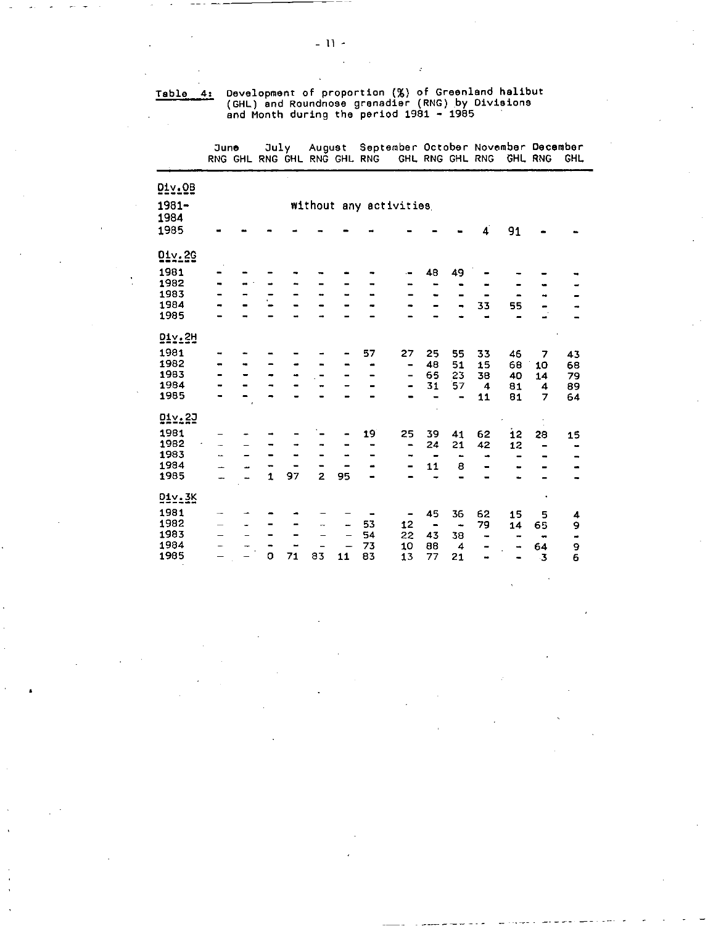Table 4s Development of proportion (%) of Greenland halibut (GHL) and Roundnose grenadier (RNG) by Divisions and Month during the period 1981 - 1985

June July August September October November December RNG GHL RNG GHL RNG GHL RNG GHL RNG GHL RNG GHL RNG GHL Div.OB 1981 without any activities. 1984 1985 **- - - - - - - - -** - - 4 91 **-**Div.20 <sup>1983</sup>-- - - 1981 **- - - - - - -** - 48 49 <del>-</del> 1982 - $\overline{\phantom{0}}$ 1984 33 55 - ., 1985  $\overline{a}$ Div.2H 1981 57 27 25 55 33 46 7 43 1982 **- - - - - - - - 48 51 15 68 10 68** 1983 - - - - - - - - - 65 23 38 40 14 79 1984 31 57 4 81 4 89 1985 - - - 11 81 7 64 Div.23  $\begin{array}{ccccccccc}\n5 & 39 & 41 & 62 & 12 & 28 & 15 \\
-24 & 21 & 42 & 12 & - & - \\
-11 & 8 & - & - & - & - \\
\end{array}$ 1981 19 25 39 41 62 12 28 15 1982 - - - - - - - - - 24 21 42 12 **- -**1983 1984<br>1985  $\perp$   $\perp$  $\blacksquare$  $\overline{\phantom{0}}$  $\frac{1}{2}$ - 11 8 - - - - 1985 - - 1 97 2 95 **- - - - - - - - -**Div.3K ä, 1981 - - - - - - - - 45 36 62 15 5 4 1982 - - - 53 12 - - 79 14 65 9 1983 – – – – – – 54 22 43 38 – – – – 1984 - - - - - - 73 10 88 4 - - 64 9 1985 0 71 83 11 83 13 77 21 - - 3 6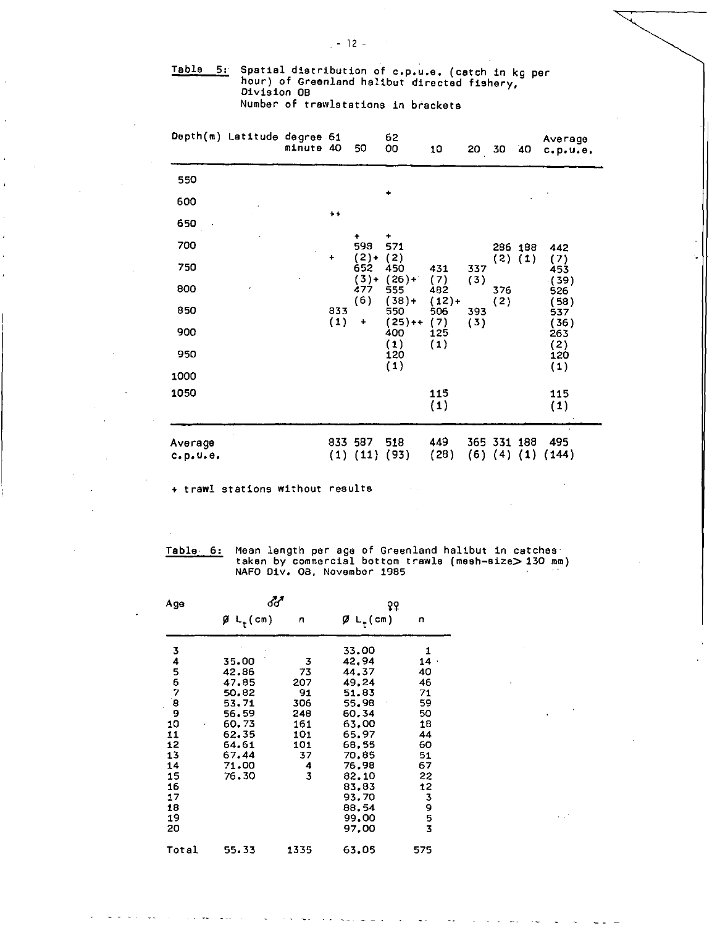#### Table 5: Spatial distribution of *c.p.u.e.* (catch in kg per hour) of Greenland halibut directed fishery, Division OB Number of trawlstations in brackets

|                      | Depth(m) Latitude degree 61 | minute 40 |       | 50                      | 62<br>00          | 10              | 20 30 |                    | 40          | Average<br>c.p.u.e. |
|----------------------|-----------------------------|-----------|-------|-------------------------|-------------------|-----------------|-------|--------------------|-------------|---------------------|
| 550                  |                             |           |       |                         |                   |                 |       |                    |             |                     |
| 600                  |                             |           |       |                         | ۰                 |                 |       |                    |             |                     |
| 650                  |                             |           | $+ +$ |                         |                   |                 |       |                    |             |                     |
| 700                  |                             |           | ۰.    | ۰<br>593                | ٠<br>571          |                 |       |                    | 286 188     | 442                 |
| 750                  |                             |           |       | $(2)$ +<br>652          | (2)<br>450        | 431             | 337   |                    | $(2)$ $(1)$ | (7)<br>453          |
| 800                  |                             |           |       | $(3) +$<br>477<br>(6)   | $(26) +$<br>555   | (7)<br>482      | (3)   | 376                |             | (39)<br>526         |
| 850                  |                             |           | 833   | ۰                       | $(38) +$<br>550   | $(12) +$<br>506 | 393   | (2)                |             | 58)<br>537          |
| 900                  |                             |           | (1)   |                         | $(25) + +$<br>400 | (7)<br>125      | (3)   |                    |             | (36)<br>263         |
| 950                  |                             |           |       |                         | (1)<br>120        | (1)             |       |                    |             | $^{(2)}_{120}$      |
| 1000                 |                             |           |       |                         | (1)               |                 |       |                    |             | (1)                 |
| 1050                 |                             |           |       |                         |                   | 115<br>(1)      |       |                    |             | 115<br>(1)          |
| Average<br>c.p. u.e. |                             |           |       | 833 587<br>$(1)$ $(11)$ | 518<br>(93)       | 449<br>(28)     | (6)   | 365 331 188<br>(4) | (1)         | 495<br>(144)        |

+ trawl stations without results

Table 6: Mean length per age of Greenland halibut in catches taken by commercial bottom trawls (mesh-size> 130 mm) NAFO Div. 08, November 1985

 $\ddotsc$ 

| Age                                                               | ර්ර                                                                                                      |                                                                         | ያያ                                                                                                                                           |                                                                                               |  |  |  |  |
|-------------------------------------------------------------------|----------------------------------------------------------------------------------------------------------|-------------------------------------------------------------------------|----------------------------------------------------------------------------------------------------------------------------------------------|-----------------------------------------------------------------------------------------------|--|--|--|--|
|                                                                   | ይሆ'(cw)                                                                                                  | n                                                                       | ØL,(cm)                                                                                                                                      | n                                                                                             |  |  |  |  |
| 345678<br>9<br>10<br>11<br>12<br>13<br>14<br>15<br>16<br>17<br>18 | 35.00<br>42.86<br>47.85<br>50.82<br>53.71<br>56.59<br>60.73<br>62.35<br>64.61<br>67.44<br>71.00<br>76.30 | 3<br>73<br>207<br>91<br>306<br>248<br>161<br>101<br>101<br>37<br>4<br>3 | 33.00<br>42.94<br>44.37<br>49,24<br>51.83<br>55.98<br>60.34<br>63.00<br>65.97<br>68,55<br>70.85<br>76,98<br>82,10<br>83.83<br>93.70<br>88.54 | 1<br>$14 -$<br>40<br>46<br>71<br>59<br>50<br>18<br>44<br>60<br>51<br>67<br>22<br>12<br>3<br>9 |  |  |  |  |
| 19<br>20<br>Total                                                 | 55.33                                                                                                    | 1335                                                                    | 99.00<br>97.00<br>63.05                                                                                                                      | 5<br>3<br>575                                                                                 |  |  |  |  |

 $-12-$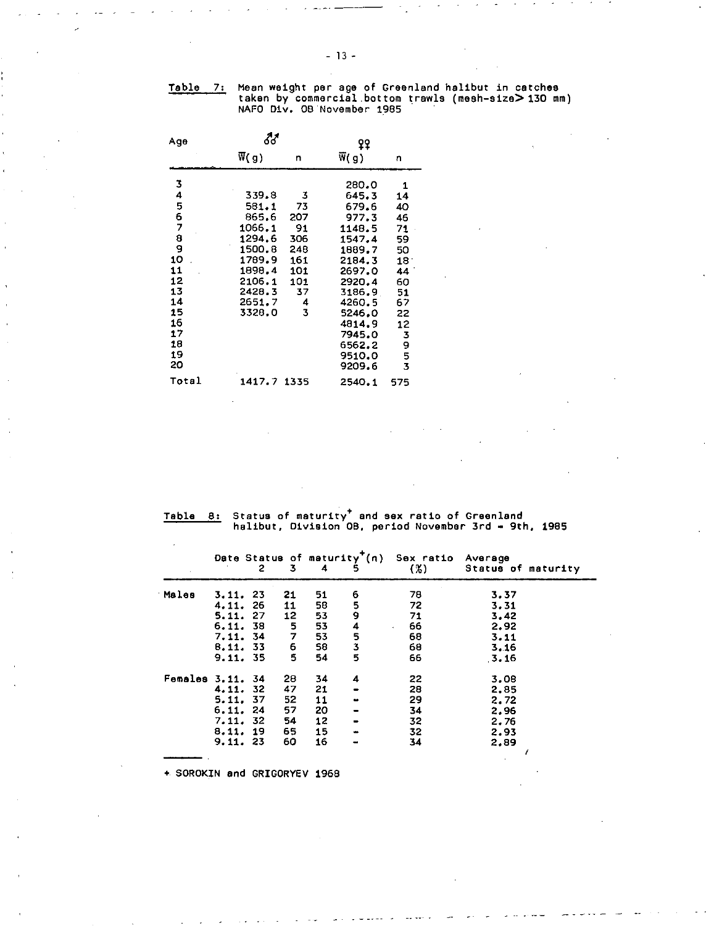| Table -7: - Mean weight per age of Greenland halibut in catches |
|-----------------------------------------------------------------|
| taken by commercial bottom trawls (mesh-size> 130 mm)           |
| NAFO Div. OB November 1985                                      |

| Age                                                                                         | 88                                                                                                                |                                                                         | 88                                                                                                                                                                 |                                                                                                 |
|---------------------------------------------------------------------------------------------|-------------------------------------------------------------------------------------------------------------------|-------------------------------------------------------------------------|--------------------------------------------------------------------------------------------------------------------------------------------------------------------|-------------------------------------------------------------------------------------------------|
|                                                                                             | $\overline{W}(g)$                                                                                                 | n                                                                       | $\overline{W}(g)$                                                                                                                                                  | n                                                                                               |
| 3<br>4<br>5<br>6<br>7<br>8<br>9<br>10<br>11<br>12<br>13<br>14<br>15<br>16<br>17<br>18<br>19 | 339.8<br>581.1<br>865.6<br>1066.1<br>1294.6<br>1500.8<br>1789.9<br>1898.4<br>2106.1<br>2428.3<br>2651.7<br>3328.0 | 3<br>73<br>207<br>91<br>306<br>248<br>161<br>101<br>101<br>37<br>4<br>3 | 280.0<br>645.3<br>679.6<br>977.3<br>1148.5<br>1547.4<br>1889.7<br>2184.3<br>2697.0<br>2920.4<br>3186.9<br>4260.5<br>5246.0<br>4814.9<br>7945.0<br>6562.2<br>9510.0 | 1<br>14<br>40<br>46<br>71<br>59<br>50<br>18.<br>44<br>60<br>51<br>67<br>22<br>12<br>3<br>9<br>5 |
| 20<br>Total                                                                                 | 1417.7                                                                                                            | 1335                                                                    | 9209.6<br>2540.1                                                                                                                                                   | 3<br>575                                                                                        |

Table 8: Status of maturity+and sex ratio of Greenland halibut, Division OB, period November 3rd - 9th, 1985

|                  |          | 2 | 3. | 4  | Date Status of maturity <sup><math>\mathbf{r}(n)</math></sup> | Sex ratio<br>$(\%)$ | Average<br>Status of maturity |
|------------------|----------|---|----|----|---------------------------------------------------------------|---------------------|-------------------------------|
| Males            | 3.11.23  |   | 21 | 51 | 6                                                             | 78                  | 3.37                          |
|                  | 4.11.26  |   | 11 | 58 | 5                                                             | 72                  | 3.31                          |
|                  | 5.11.27  |   | 12 | 53 | 9                                                             | 71                  | 3.42                          |
|                  | 6.11.38  |   | 5. | 53 | 4                                                             | 66<br>$\bullet$     | 2.92                          |
|                  | 7.11.34  |   | 7  | 53 | 5                                                             | 68                  | 3.11                          |
|                  | 8.11.33  |   | 6  | 58 | 3                                                             | 68                  | 3.16                          |
|                  | 9.11.35  |   | 5  | 54 | 5                                                             | 66                  | 3.16                          |
| Females 3.11. 34 |          |   | 28 | 34 | 4                                                             | 22                  | 3.08                          |
|                  | 4,11, 32 |   | 47 | 21 |                                                               | 28                  | 2.85                          |
|                  | 5.11.37  |   | 52 | 11 | $\blacksquare$                                                | 29                  | 2.72                          |
|                  | 6.11.24  |   | 57 | 20 | $\blacksquare$                                                | 34                  | 2.96                          |
|                  | 7.11.32  |   | 54 | 12 | $\bullet$                                                     | 32                  | 2.76                          |
|                  | 8.11.19  |   | 65 | 15 | $\blacksquare$                                                | 32                  | 2.93                          |
|                  | 9.11.23  |   | 60 | 16 |                                                               | 34                  | 2.89                          |
|                  |          |   |    |    |                                                               |                     |                               |

+ SOROKIN **and** GRIGORYEV 1968

- 13 -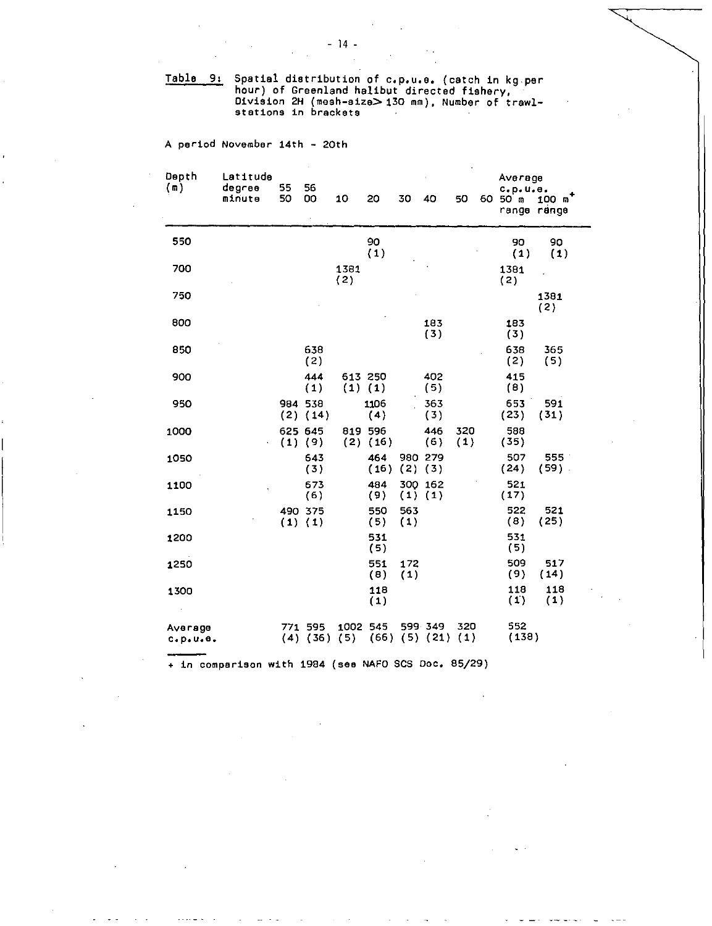Table 9: Spatial distribution of c.p.u.e. (catch in kg per hour) of Greenland halibut directed fishery, Division 2H (mesh-size>. 130 mm), Number of trawlstations in brackets

A period November 14th - 20th

| Depth<br>(m)                       | Latitude<br>degree<br>minute | 55<br>50       | 56<br><b>OO</b>         | 10              | 20                      | 30                | 40                                   | 50         | Average<br>c.p.u.e.<br>60, 50, m | $100 m+$<br>range range |  |
|------------------------------------|------------------------------|----------------|-------------------------|-----------------|-------------------------|-------------------|--------------------------------------|------------|----------------------------------|-------------------------|--|
| 550                                |                              |                |                         |                 | 90<br>(1)               |                   |                                      |            | 90<br>(1)                        | 90<br>(1)               |  |
| 700                                |                              |                |                         | 1381<br>(2)     |                         |                   |                                      |            | 1381<br>(2)                      |                         |  |
| 750                                |                              |                |                         |                 |                         |                   |                                      |            |                                  | 1381<br>(2)             |  |
| 800                                |                              |                |                         |                 |                         |                   | 183<br>(3)                           |            | 183<br>(3)                       |                         |  |
| 850                                |                              |                | 638<br>(2)              |                 |                         |                   |                                      |            | 638<br>(2)                       | 365<br>(5)              |  |
| 900                                |                              |                | 444<br>(1)              |                 | 613 250<br>$(1)$ $(1)$  |                   | 402<br>(5)                           |            | 415<br>(8)                       |                         |  |
| 950                                |                              | 984 538<br>(2) | (14)                    |                 | 1106<br>(4)             |                   | 363<br>(3)                           |            | 653<br>(23)                      | 591<br>(31)             |  |
| 1000                               |                              | 625 645        | $(1)$ $(9)$             |                 | 819 596<br>$(2)$ $(16)$ |                   | 446<br>(6)                           | 320<br>(1) | 588<br>(35)                      |                         |  |
| 1050                               |                              |                | 643<br>(3)              |                 | 464<br>(16)             | 980<br>(2)        | 279<br>(3)                           |            | 507<br>(24)                      | 555 -<br>$(59)$ .       |  |
| 1100                               |                              |                | 673<br>(6)              |                 | 484<br>(9)              | <b>300</b><br>(1) | 162<br>(1)                           |            | 521<br>(17)                      |                         |  |
| 1150                               |                              |                | 490 375<br>$(1)$ $(1)$  |                 | 550<br>(5)              | 563<br>(1)        |                                      |            | 522<br>(8)                       | 521<br>(25)             |  |
| 1200                               |                              |                |                         |                 | 531<br>(5)              |                   |                                      |            | 531<br>(5)                       |                         |  |
| 1250                               |                              |                |                         |                 | 551<br>(8)              | 172<br>(1)        |                                      |            | 509<br>(9)                       | 517<br>(14)             |  |
| 1300                               |                              |                |                         |                 | 118<br>(1)              |                   |                                      |            | 118<br>(1)                       | 118<br>(1)              |  |
| Average<br>$C0$ , $U0$ , $\theta0$ |                              |                | 771 595<br>$(4)$ $(36)$ | 1002 545<br>(5) |                         |                   | 599 349<br>$(66)$ $(5)$ $(21)$ $(1)$ | 320        | 552<br>(138)                     |                         |  |

+ in comparison with 1984 (see NAFO SCS Doc. 85/29)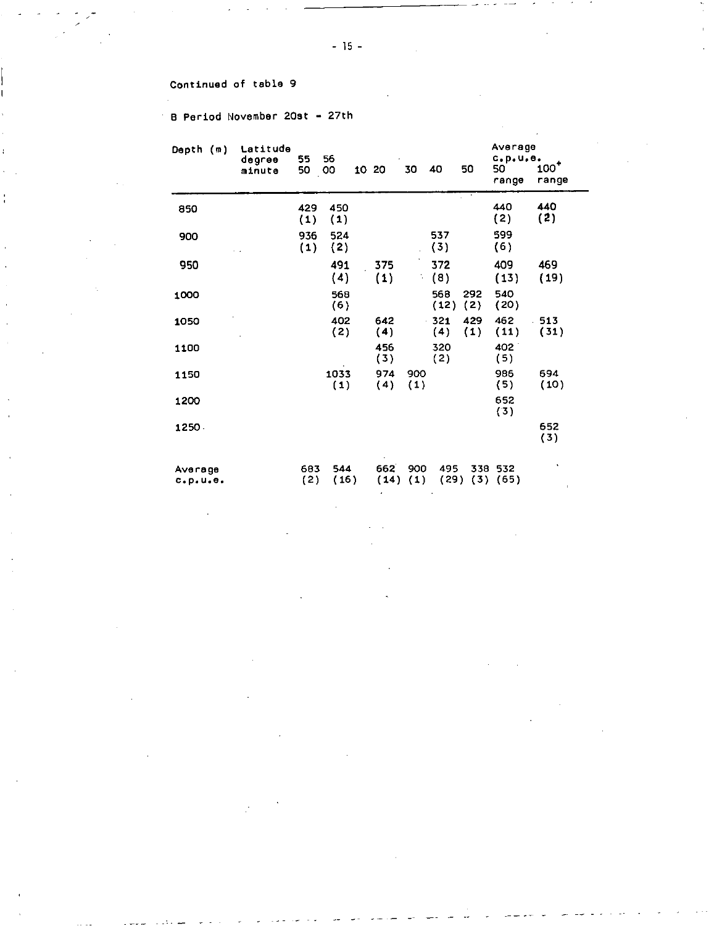# Continued of table 9

## B Period November 20st - 27th

| (m)<br>Depth             | Latitude<br>degree<br>minute | 55<br>50   | 56<br>OO    | 10 20       | 30         | 40               | 50         | Average<br>$c1$ , $u2$ , $e3$<br>50<br>range | $100^+$<br>range |
|--------------------------|------------------------------|------------|-------------|-------------|------------|------------------|------------|----------------------------------------------|------------------|
| 850                      |                              | 429<br>(1) | 450<br>(1)  |             |            |                  |            | 440<br>(2)                                   | 440<br>(2)       |
| 900                      |                              | 936<br>(1) | 524<br>(2)  |             |            | 537<br>(3)       |            | 599<br>(6)                                   |                  |
| 950                      |                              |            | 491<br>(4)  | 375<br>(1)  |            | 372<br>(8)       |            | 409<br>(13)                                  | 469<br>(19)      |
| 1000                     |                              |            | 568<br>(6)  |             |            | 568<br>(12)      | 292<br>(2) | 540<br>(20)                                  |                  |
| 1050                     |                              |            | 402<br>(2)  | 642<br>(4)  |            | 321<br>k,<br>(4) | 429<br>(1) | 462<br>(11)                                  | 513<br>(31)      |
| 1100                     |                              |            |             | 456<br>(3)  |            | 320<br>(2)       |            | 402<br>(5)                                   |                  |
| 1150                     |                              |            | 1033<br>(1) | 974<br>(4)  | 900<br>(1) |                  |            | 986<br>(5)                                   | 694<br>(10)      |
| 1200                     |                              |            |             |             |            |                  |            | 652<br>(3)                                   |                  |
| 1250.                    |                              |            |             |             |            |                  |            |                                              | 652<br>(3)       |
| Average<br>$c1 p1 u1 e2$ |                              | 683<br>(2) | 544<br>(16) | 662<br>(14) | 900<br>(1) | 495<br>(29)      | (3)        | 338 532<br>(65)                              |                  |

í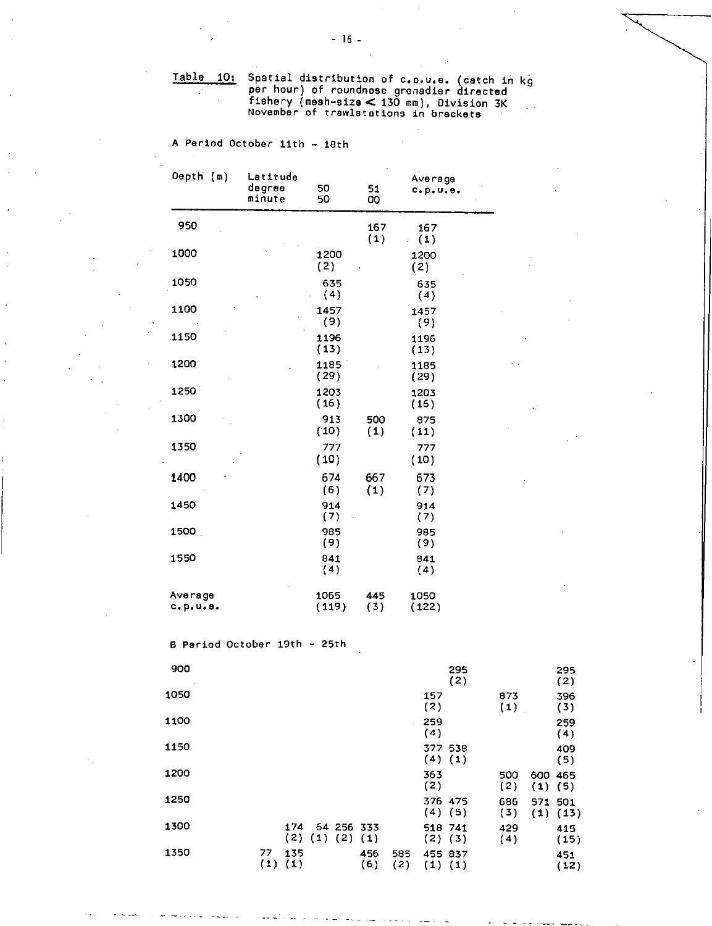Table 10: Spatial distribution of c.p.u.e. (catch in kg per hour) of roundnose grenadier directed fishery (mesh-size < 130 mm), Division 3K November of trawlstetions in brackets

#### A Period October 11th - 18th

| Depth (m)           | Latitude<br>degree<br>minute | 50<br>50      | 51<br>oo   | Average<br>c.p.u.e. |
|---------------------|------------------------------|---------------|------------|---------------------|
| 950                 |                              |               | 167<br>(1) | 167<br>(1)          |
| 1000                |                              | 1200<br>(2)   |            | 1200<br>(2)         |
| 1050                |                              | 635<br>(4)    |            | 635<br>(4)          |
| 1100                |                              | 1457<br>(9)   |            | 1457<br>(9)         |
| 1150                |                              | 1196<br>(13)  |            | 1196<br>(13)        |
| 1200                |                              | 1185<br>(29)  |            | 1185<br>(29)        |
| 1250                |                              | 1203<br>(16)  |            | 1203<br>(16)        |
| 1300                |                              | 913<br>(10)   | 500<br>(1) | 875<br>(11)         |
| 1350                |                              | 777<br>(10)   |            | 777<br>(10)         |
| 1400                |                              | 674<br>(6)    | 667<br>(1) | 673<br>(7)          |
| 1450                |                              | 914<br>(7)    |            | 914<br>(7)          |
| 1500                |                              | 985<br>(9)    |            | 985<br>(9)          |
| 1550                |                              | 841<br>(4)    |            | 841<br>(4)          |
| Average<br>c.p.u.e. |                              | 1065<br>(119) | 445<br>(3) | 1050<br>(122)       |

B Period October 19th - 25th

| 900  |           |            |     |                           |            |            |                        | 295<br>(2) |            |                    | 295<br>(2)   |
|------|-----------|------------|-----|---------------------------|------------|------------|------------------------|------------|------------|--------------------|--------------|
| 1050 |           |            |     |                           |            |            | 157<br>(2)             |            | 873<br>(1) |                    | 396<br>(3)   |
| 1100 |           |            |     |                           |            | à.         | 259<br>(4)             |            |            |                    | 259<br>(4)   |
| 1150 |           |            |     |                           |            |            | 377 538<br>$(4)$ $(1)$ |            |            |                    | 409<br>(5)   |
| 1200 |           |            |     |                           |            |            | 363<br>(2)             |            | 500<br>(2) | 600<br>$(1)$ $(5)$ | 465          |
| 1250 |           |            |     |                           |            |            | 376 475<br>$(4)$ (5)   |            | 686<br>(3) | 571 501            | $(1)$ $(13)$ |
| 1300 |           | 174<br>(2) | (1) | 64 256 333<br>$(2)$ $(1)$ |            |            | 518 741<br>$(2)$ $(3)$ |            | 429<br>(4) |                    | 415<br>(15)  |
| 1350 | 77<br>(1) | 135<br>(1) |     |                           | 456<br>(6) | 585<br>(2) | 455 837<br>$(1)$ $(1)$ |            |            |                    | 451<br>(12)  |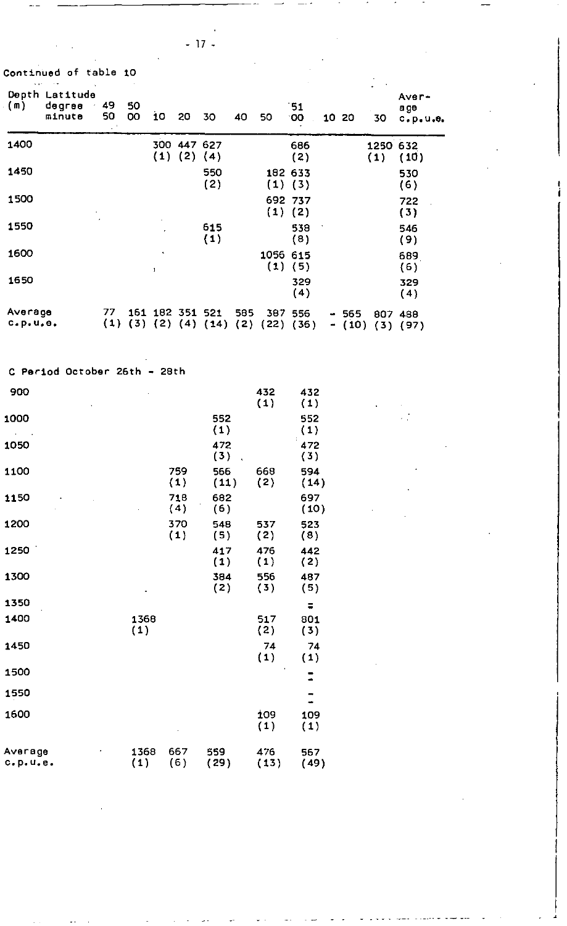-17-

Continued of table 10 • •

| (m)                      | Depth Latitude<br>degree<br>minute | 49<br>50  | 50<br>00 | 10                     | 20             | 30           | 40         | 50              | 51<br>00               | 10 20                               | 30              | Aver-<br>a ge<br>$C \cdot D \cdot U \cdot \theta$ |
|--------------------------|------------------------------------|-----------|----------|------------------------|----------------|--------------|------------|-----------------|------------------------|-------------------------------------|-----------------|---------------------------------------------------|
| 1400                     |                                    |           |          | 300<br>(1)             | 447 627<br>(2) | (4)          |            |                 | 686<br>(2)             |                                     | 1250 632<br>(1) | (10)                                              |
| 1450                     |                                    |           |          |                        |                | 550<br>(2)   |            |                 | 182 633<br>$(1)$ $(3)$ |                                     |                 | 530<br>(6)                                        |
| 1500                     |                                    |           |          |                        |                |              |            |                 | 692 737<br>$(1)$ $(2)$ |                                     |                 | 722<br>(3)                                        |
| 1550                     |                                    |           |          |                        |                | 615<br>(1)   |            |                 | 538<br>(8)             |                                     |                 | 546<br>(9)                                        |
| 1600                     |                                    |           |          | $\bullet$<br>f.        |                |              |            | 1056 615<br>(1) | (5)                    |                                     |                 | 689<br>(6)                                        |
| 1650                     |                                    |           |          |                        |                |              |            |                 | 329<br>(4)             |                                     |                 | 329<br>(4)                                        |
| Average<br>$c0$ , $u0$ , |                                    | 77<br>(1) | (3)      | 161 182 351 521<br>(2) |                | $(4)$ $(14)$ | 585<br>(2) | 387<br>(22)     | 556<br>(36)            | 565<br>$\blacksquare$<br>(10)<br>۰. | 807<br>(3)      | 488<br>(97)                                       |

C Period October 26th - 28th 900 432 432  $(1)$   $(1)$ 1000 552 552  $(1)$   $(1)$ 1050 472 472  $(3)$  ( 3 )<br>566 668 594 1100 759 566 668 594  $(1)$   $(11)$   $(2)$   $(14)$ 1150 718 682 697  $(4)$  (6) (10) 1200 370 548 537 523  $(1)$   $(5)$   $(2)$   $(8)$ 1250 417 476 442  $(1)$   $(1)$   $(2)$ 1300 384 556 487  $(2)$   $(3)$   $(5)$ 1350  $\equiv$ 1368 517 801<br>(1) (2) (3) 1400 1368 517 801 1450 74 74  $(1)$   $(1)$ 1500  $\overline{\phantom{a}}$ 1550  $\overline{\phantom{a}}$ 1600 109 109 (1) (1) Average 1368 667 559 476 567<br>c.p.u.e. (1) (6) (29) (13) (49) c.p.u.e.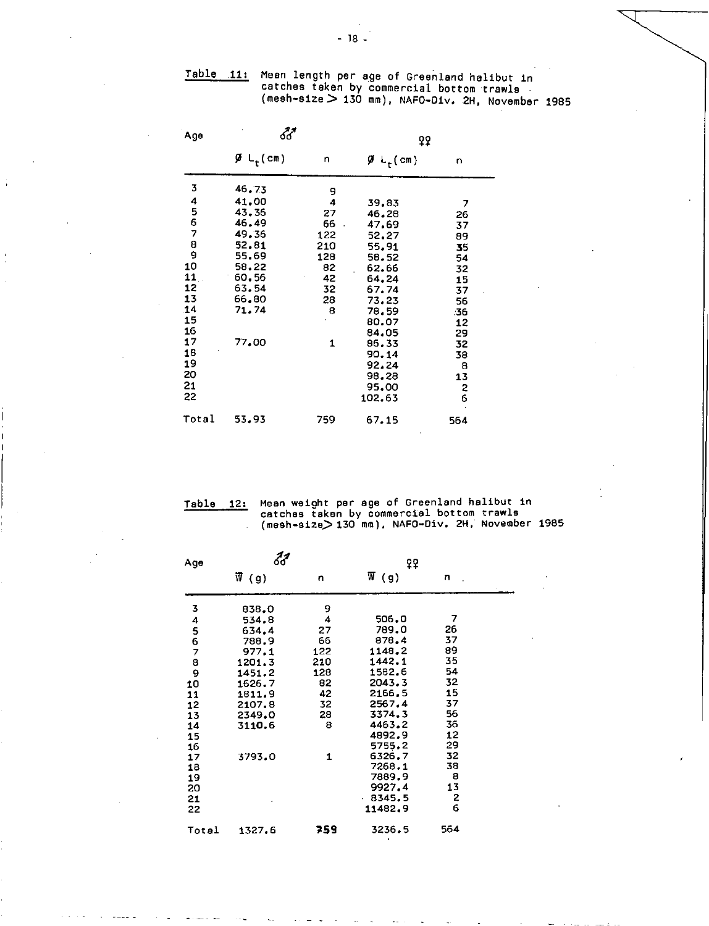Table 111 Mean length per age of Greenland halibut in catches taken by commercial bottom trawls (mesh-size> 130 mm), NAF0-01v. 2H, November 1985

| Age   | 88                   |     | ¥₹       |                                       |
|-------|----------------------|-----|----------|---------------------------------------|
|       | ØL <sub>t</sub> (cm) | n   | ይ r (cm) | n                                     |
| 3     | 46.73                | 9   |          |                                       |
| 4     | 41.00                | 4   | 39.83    | 7                                     |
| 5678  | 43.36                | 27  | 46.28    | 26                                    |
|       | 46.49                | 66  | 47.69    | 37                                    |
|       | 49.36                | 122 | 52.27    | 89                                    |
|       | 52.81                | 210 | 55.91    | 35                                    |
| 9     | 55.69                | 128 | 58.52    | 54                                    |
| 10    | 58,22                | 82  | 62.66    | 32                                    |
| 11    | 60.56                | 42  | 64.24    | 15                                    |
| 12    | 63.54                | 32  | 67.74    | 37                                    |
| 13    | 66.80                | 28  | 73.23    | 56                                    |
| 14    | 71.74                | 8   | 78.59    | .36                                   |
| 15    |                      |     | 80.07    | 12                                    |
| 16    |                      |     | 84.05    | 29                                    |
| 17    | 77.00                | 1   | 86.33    | 32                                    |
| 18    |                      |     | 90.14    | 38                                    |
| 19    |                      |     | 92.24    | 8                                     |
| 20    |                      |     | 98.28    | 13                                    |
| 21    |                      |     | 95.00    | $\begin{array}{c} 2 \\ 6 \end{array}$ |
| 22    |                      |     | 102.63   |                                       |
| Total | 53.93                | 759 | 67.15    | 564                                   |

| 12:<br>Table | Mean weight per age of Greenland halibut in      |
|--------------|--------------------------------------------------|
|              | catches taken by commercial bottom trawls        |
|              | (mesh-size) 130 mm), NAFO-Div. 2H, November 1985 |

| Age   | 88                 |     | ዩ¥                |     |  |
|-------|--------------------|-----|-------------------|-----|--|
|       | $\overline{W}$ (g) | n   | $\overline{W}(g)$ | n   |  |
| 3     | 838.0              | 9   |                   |     |  |
|       | 534.8              | 4   | 506.0             | 7   |  |
| 45678 | 634.4              | 27  | 789.0             | 26  |  |
|       | 788.9              | 66  | 878.4             | 37  |  |
|       | 977.1              | 122 | 1148.2            | 89  |  |
|       | 1201.3             | 210 | 1442.1            | 35  |  |
| 9     | 1451.2             | 128 | 1582.6            | 54  |  |
| 10    | 1626.7             | 82  | 2043.3            | 32  |  |
| 11    | 1811.9             | 42  | 2166.5            | 15  |  |
| 12    | 2107.8             | 32  | 2567.4            | 37  |  |
| 13    | 2349.0             | 28  | 3374.3            | 56  |  |
| 14    | 3110.6             | 8   | 4463.2            | 36  |  |
| 15    |                    |     | 4892.9            | 12  |  |
| 16    |                    |     | 5755.2            | 29  |  |
| 17    | 3793.0             | 1   | 6326.7            | 32  |  |
| 18    |                    |     | 7268.1            | 38  |  |
| 19    |                    |     | 7889.9            | 8   |  |
| 20    |                    |     | 9927.4            | 13  |  |
| 21    |                    |     | 8345.5            | 2   |  |
| 22    |                    |     | 11482.9           | 6   |  |
| Total | 1327.6             | 759 | 3236.5            | 564 |  |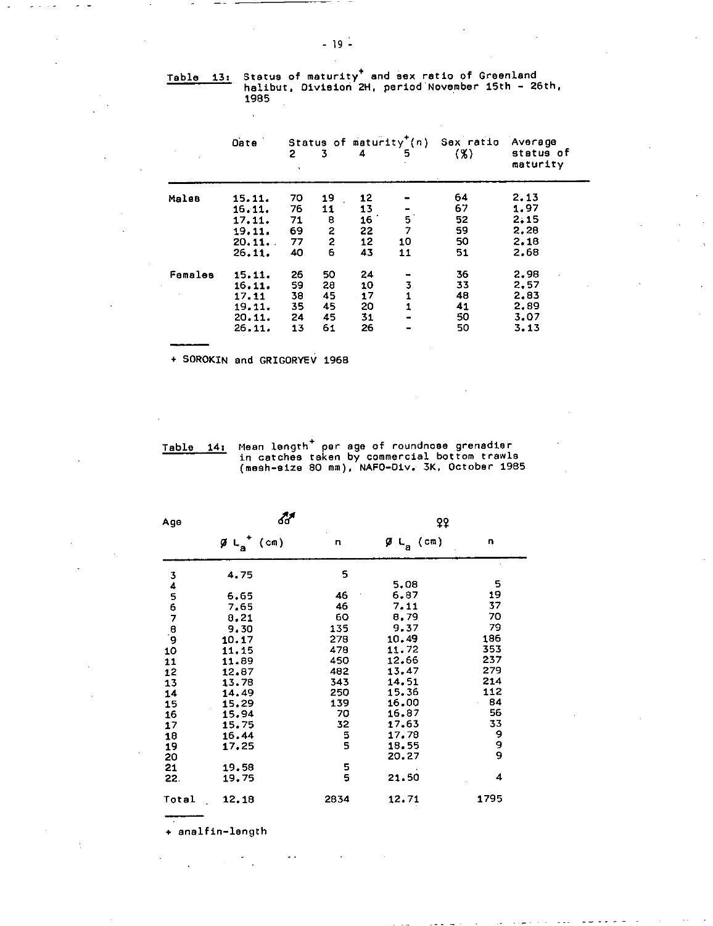Table 13: Status of maturity and sex ratio of Greenland<br>halibut, Division 2H, period November 15th – 26th, 1985

|         | Date   | 2  | 3                       | 4  | Status of maturity <sup><math>^{\dagger}</math></sup> (n)<br>5 | Sex ratio<br>(X) | Average<br>status of<br>maturity |
|---------|--------|----|-------------------------|----|----------------------------------------------------------------|------------------|----------------------------------|
| Males   | 15.11. | 70 | 19                      | 12 |                                                                | 64               | 2.13                             |
|         | 16.11. | 76 | 11                      | 13 | ۰                                                              | 67               | 1.97                             |
|         | 17.11. | 71 | 8                       | 16 |                                                                | 52               | 2:15                             |
|         | 19.11. | 69 | $\boldsymbol{2}$        | 22 | $\frac{5}{7}$                                                  | 59               | 2.28                             |
|         | 20.11  | 77 | $\overline{\mathbf{c}}$ | 12 | 10                                                             | 50               | 2.18                             |
|         | 26.11. | 40 | 6                       | 43 | 11                                                             | 51               | 2.68                             |
| Females | 15.11. | 26 | 50                      | 24 |                                                                | 36               | 2.98                             |
|         | 16.11. | 59 | 28                      | 10 | 3                                                              | 33               | 2.57                             |
|         | 17.11  | 38 | 45                      | 17 | 1                                                              | 48               | 2.83                             |
|         | 19.11. | 35 | 45                      | 20 | 1                                                              | 41               | 2.89                             |
|         | 20.11. | 24 | 45                      | 31 |                                                                | 50               | 3.07                             |
|         | 26.11. | 13 | 61                      | 26 |                                                                | 50               | 3.13                             |

+ SOROKIN and GRIGORYEV 1968

l,

Table 14: Mean length + per age of roundnose grenadier in catches taken by commercial bottom trawls (mesh-size 80 mm), NAFO-Div. 3K, October 1985

| Age       | ්ර්                             |        | የ\$                             |                         |  |  |
|-----------|---------------------------------|--------|---------------------------------|-------------------------|--|--|
|           | $\emptyset$ L <sub>a</sub> (cm) | n      | $\emptyset$ L <sub>a</sub> (cm) | n                       |  |  |
|           | 4.75                            | 5      |                                 |                         |  |  |
|           |                                 |        | 5.08                            | 5                       |  |  |
|           | 6.65                            | 46     | 6.87                            | 19                      |  |  |
|           | 7.65                            | 46     | 7.11                            | 37                      |  |  |
|           | 0.21                            | 60     | 8.79                            | 70                      |  |  |
|           | 9.30                            | 135    | 9.37                            | 79                      |  |  |
|           | 10.17                           | 278    | 10.49                           | 186                     |  |  |
| 345678910 | 11.15                           | 478    | 11.72                           | 353                     |  |  |
| 11        | 11.89                           | 450    | 12.66                           | 237                     |  |  |
| 12        | 12.87                           | 482    | 13.47                           | 279                     |  |  |
| 13        | 13.78                           | 343    | 14.51                           | 214                     |  |  |
| 14        | 14.49                           | 250    | 15.36                           | 112                     |  |  |
| 15        | 15,29                           | 139    | 16.00                           | 84                      |  |  |
| 16        | 15.94                           | 70     | 16.87                           | 56                      |  |  |
| 17        | 15.75                           | 32     | 17.63                           | 33                      |  |  |
| 18        | 16.44                           | 5      | 17.78                           | 9                       |  |  |
| 19        | 17.25                           | 5      | 18.55                           | 9<br>9                  |  |  |
| 20        |                                 |        | 20.27                           |                         |  |  |
| 21        | 19.58                           | 5<br>5 |                                 |                         |  |  |
| 22.       | 19.75                           |        | 21.50                           | $\overline{\mathbf{4}}$ |  |  |
| Total     | 12.18                           | 2834   | 12.71                           | 1795                    |  |  |

+ analfin-length